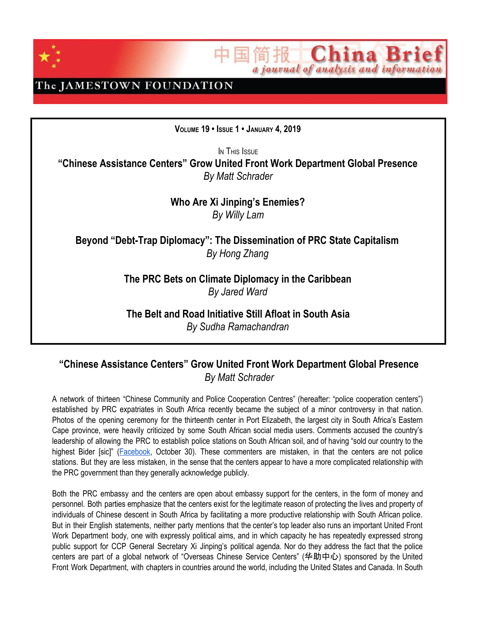

**China Brief** 简报工 a journal of analysis and information

The JAMESTOWN FOUNDATION

**VOLUME 19 • ISSUE 1 • JANUARY 4, 2019**

IN THIS ISSUE **"Chinese Assistance Centers" Grow United Front Work Department Global Presence** *By Matt Schrader*

> **Who Are Xi Jinping's Enemies?** *By Willy Lam*

**Beyond "Debt-Trap Diplomacy": The Dissemination of PRC State Capitalism** *By Hong Zhang*

> **The PRC Bets on Climate Diplomacy in the Caribbean** *By Jared Ward*

**The Belt and Road Initiative Still Afloat in South Asia** *By Sudha Ramachandran*

### **"Chinese Assistance Centers" Grow United Front Work Department Global Presence** *By Matt Schrader*

A network of thirteen "Chinese Community and Police Cooperation Centres" (hereafter: "police cooperation centers") established by PRC expatriates in South Africa recently became the subject of a minor controversy in that nation. Photos of the opening ceremony for the thirteenth center in Port Elizabeth, the largest city in South Africa's Eastern Cape province, were heavily criticized by some South African social media users. Comments accused the country's leadership of allowing the PRC to establish police stations on South African soil, and of having "sold our country to the highest Bider [sic]" ([Facebook,](http://archive.is/QfaZY#selection-2277.0-2295.43) October 30). These commenters are mistaken, in that the centers are not police stations. But they are less mistaken, in the sense that the centers appear to have a more complicated relationship with the PRC government than they generally acknowledge publicly.

Both the PRC embassy and the centers are open about embassy support for the centers, in the form of money and personnel. Both parties emphasize that the centers exist for the legitimate reason of protecting the lives and property of individuals of Chinese descent in South Africa by facilitating a more productive relationship with South African police. But in their English statements, neither party mentions that the center's top leader also runs an important United Front Work Department body, one with expressly political aims, and in which capacity he has repeatedly expressed strong public support for CCP General Secretary Xi Jinping's political agenda. Nor do they address the fact that the police centers are part of a global network of "Overseas Chinese Service Centers" (华助中心) sponsored by the United Front Work Department, with chapters in countries around the world, including the United States and Canada. In South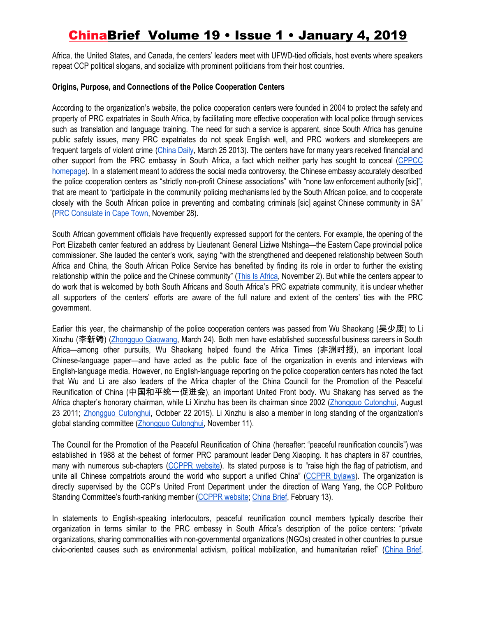Africa, the United States, and Canada, the centers' leaders meet with UFWD-tied officials, host events where speakers repeat CCP political slogans, and socialize with prominent politicians from their host countries.

### **Origins, Purpose, and Connections of the Police Cooperation Centers**

According to the organization's website, the police cooperation centers were founded in 2004 to protect the safety and property of PRC expatriates in South Africa, by facilitating more effective cooperation with local police through services such as translation and language training. The need for such a service is apparent, since South Africa has genuine public safety issues, many PRC expatriates do not speak English well, and PRC workers and storekeepers are frequent targets of violent crime [\(China](http://www.chinadaily.com.cn/world/2013-03/25/content_16344315.htm) Daily, March 25 2013). The centers have for many years received financial and other support from the PRC embassy in South Africa, a fact which neither party has sought to conceal ([CPPCC](http://chinesecpf.com/) [homepage\)](http://chinesecpf.com/). In a statement meant to address the social media controversy, the Chinese embassy accurately described the police cooperation centers as "strictly non-profit Chinese associations" with "none law enforcement authority [sic]", that are meant to "participate in the community policing mechanisms led by the South African police, and to cooperate closely with the South African police in preventing and combating criminals [sic] against Chinese community in SA" (PRC [Consulate](http://capetown.chineseconsulate.org/eng/xwdt/t1613745.htm) in Cape Town, November 28).

South African government officials have frequently expressed support for the centers. For example, the opening of the Port Elizabeth center featured an address by Lieutenant General Liziwe Ntshinga—the Eastern Cape provincial police commissioner. She lauded the center's work, saying "with the strengthened and deepened relationship between South Africa and China, the South African Police Service has benefited by finding its role in order to further the existing relationship within the police and the Chinese community" (This Is [Africa,](https://kokolevel.com/2018/11/south-africans-concerned-after-china-opens-13th-police-station-in-their-country/) November 2). But while the centers appear to do work that is welcomed by both South Africans and South Africa's PRC expatriate community, it is unclear whether all supporters of the centers' efforts are aware of the full nature and extent of the centers' ties with the PRC government.

Earlier this year, the chairmanship of the police cooperation centers was passed from Wu Shaokang (吴少康) to Li Xinzhu (李新铸) [\(Zhongguo](http://www.chinaqw.com/hqhr/2018/03-24/183314.shtml) Qiaowang, March 24). Both men have established successful business careers in South Africa—among other pursuits, Wu Shaokang helped found the Africa Times (非洲时报), an important local Chinese-language paper—and have acted as the public face of the organization in events and interviews with English-language media. However, no English-language reporting on the police cooperation centers has noted the fact that Wu and Li are also leaders of the Africa chapter of the China Council for the Promotion of the Peaceful Reunification of China (中国和平统一促进会), an important United Front body. Wu Shakang has served as the Africa chapter's honorary chairman, while Li Xinzhu has been its chairman since 2002 ([Zhongguo](http://www.zhongguotongcuhui.org.cn/hnwtchrw/201211/t20121105_3348114.html) Cutonghui, August 23 2011; Zhongguo [Cutonghui,](http://www.zhongguotongcuhui.org.cn/hnwtch/fz/nf/qfztch/201510/t20151022_10887619.html) October 22 2015). Li Xinzhu is also a member in long standing of the organization's global standing committee (Zhongquo [Cutonghui,](http://www.zhongguotongcuhui.org.cn/hnwtch/fz/nf/qfztch/201510/t20151022_10887619.html) November 11).

The Council for the Promotion of the Peaceful Reunification of China (hereafter: "peaceful reunification councils") was established in 1988 at the behest of former PRC paramount leader Deng Xiaoping. It has chapters in 87 countries, many with numerous sub-chapters [\(CCPPR](http://usa.chinadaily.com.cn/opinion/2017-10/24/content_33663325.htm) website). Its stated purpose is to "raise high the flag of patriotism, and unite all Chinese compatriots around the world who support a unified China" [\(CCPPR](http://www.zhongguotongcuhui.org.cn/bhjs/201210/t20121011_3169350.html) bylaws). The organization is directly supervised by the CCP's United Front Department under the direction of Wang Yang, the CCP Politburo Standing Committee's fourth-ranking member [\(CCPPR](http://www.zhongguotongcuhui.org.cn/bhjs/) website; [China](https://jamestown.org/program/united-front-work-department-action-abroad-profile-council-promotion-peaceful-reunification-china/) Brief, February 13).

In statements to English-speaking interlocutors, peaceful reunification council members typically describe their organization in terms similar to the PRC embassy in South Africa's description of the police centers: "private organizations, sharing commonalities with non-governmental organizations (NGOs) created in other countries to pursue civic-oriented causes such as environmental activism, political mobilization, and humanitarian relief" ([China](https://jamestown.org/program/united-front-work-department-action-abroad-profile-council-promotion-peaceful-reunification-china/) Brief,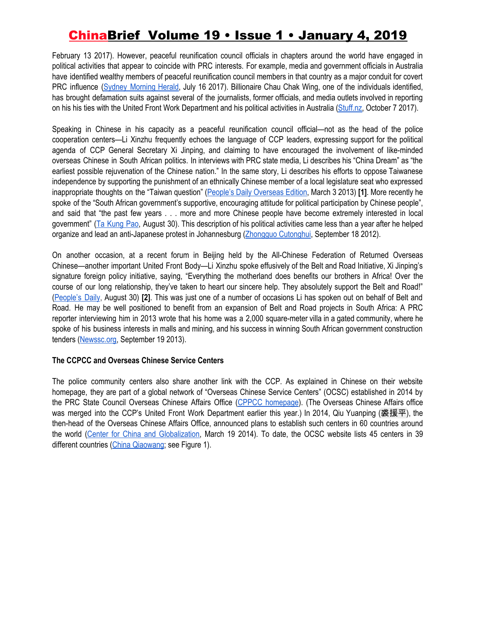February 13 2017). However, peaceful reunification council officials in chapters around the world have engaged in political activities that appear to coincide with PRC interests. For example, media and government officials in Australia have identified wealthy members of peaceful reunification council members in that country as a major conduit for covert PRC influence (Sydney [Morning](https://www.smh.com.au/national/wikileaked-billionaire-australian-donors-beijing-links-detailed-in-sensitive-diplomatic-cable-20170714-gxb21c.html) Herald, July 16 2017). Billionaire Chau Chak Wing, one of the individuals identified, has brought defamation suits against several of the journalists, former officials, and media outlets involved in reporting on his his ties with the United Front Work Department and his political activities in Australia [\(Stuff.nz,](https://www.stuff.co.nz/world/australia/97651587/one-of-australias-biggest-political-donors-has-secret-beijing-ties-court-papers) October 7 2017).

Speaking in Chinese in his capacity as a peaceful reunification council official—not as the head of the police cooperation centers—Li Xinzhu frequently echoes the language of CCP leaders, expressing support for the political agenda of CCP General Secretary Xi Jinping, and claiming to have encouraged the involvement of like-minded overseas Chinese in South African politics. In interviews with PRC state media, Li describes his "China Dream" as "the earliest possible rejuvenation of the Chinese nation." In the same story, Li describes his efforts to oppose Taiwanese independence by supporting the punishment of an ethnically Chinese member of a local legislature seat who expressed inappropriate thoughts on the "Taiwan question" (People's Daily [Overseas](http://www.zhongguotongcuhui.org.cn/hwtchzs/201303/t20130304_3856102.html) Edition, March 3 2013) **[1]**. More recently he spoke of the "South African government's supportive, encouraging attitude for political participation by Chinese people", and said that "the past few years . . . more and more Chinese people have become extremely interested in local government" (Ta [Kung](http://www.takungpao.com.hk/international/text/2018/0830/210231.html) Pao, August 30). This description of his political activities came less than a year after he helped organize and lead an anti-Japanese protest in Johannesburg (Zhongquo [Cutonghui](http://www.zhongguotongcuhui.org.cn/hnwtchrw/201211/t20121105_3348114.html), September 18 2012).

On another occasion, at a recent forum in Beijing held by the All-Chinese Federation of Returned Overseas Chinese—another important United Front Body—Li Xinzhu spoke effusively of the Belt and Road Initiative, Xi Jinping's signature foreign policy initiative, saying, "Everything the motherland does benefits our brothers in Africa! Over the course of our long relationship, they've taken to heart our sincere help. They absolutely support the Belt and Road!" ([People's](http://world.people.com.cn/n1/2018/0830/c1002-30261780.html) Daily, August 30) **[2]**. This was just one of a number of occasions Li has spoken out on behalf of Belt and Road. He may be well positioned to benefit from an expansion of Belt and Road projects in South Africa: A PRC reporter interviewing him in 2013 wrote that his home was a 2,000 square-meter villa in a gated community, where he spoke of his business interests in malls and mining, and his success in winning South African government construction tenders ([Newssc.org,](http://scnews.newssc.org/system/2013/09/19/013847235.shtml) September 19 2013).

### **The CCPCC and Overseas Chinese Service Centers**

The police community centers also share another link with the CCP. As explained in Chinese on their website homepage, they are part of a global network of "Overseas Chinese Service Centers" (OCSC) established in 2014 by the PRC State Council Overseas Chinese Affairs Office (CPPCC [homepage](http://chinesecpf.com/)). (The Overseas Chinese Affairs office was merged into the CCP's United Front Work Department earlier this year.) In 2014, Qiu Yuanping (裘援平), the then-head of the Overseas Chinese Affairs Office, announced plans to establish such centers in 60 countries around the world (Center for China and [Globalization](http://www.ccg.org.cn/Research/view.aspx?Id=773), March 19 2014). To date, the OCSC website lists 45 centers in 39 different countries (China [Qiaowang;](http://channel.chinaqw.com/cns/c/hzzx-zxjj.shtml) see Figure 1).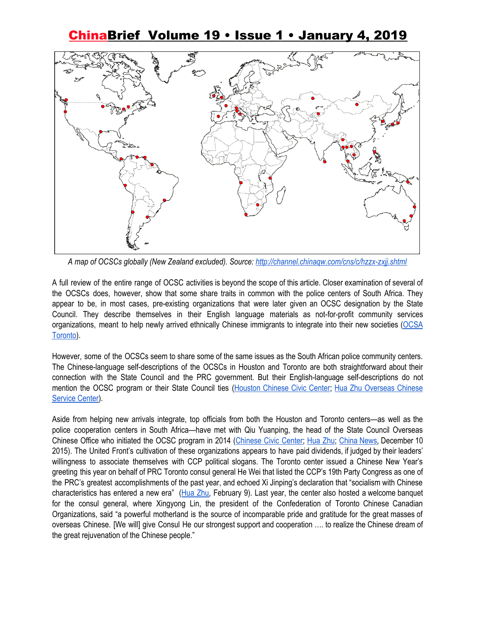

*A map of OCSCs globally (New Zealand excluded). Source: <http://channel.chinaqw.com/cns/c/hzzx-zxjj.shtml>*

A full review of the entire range of OCSC activities is beyond the scope of this article. Closer examination of several of the OCSCs does, however, show that some share traits in common with the police centers of South Africa. They appear to be, in most cases, pre-existing organizations that were later given an OCSC designation by the State Council. They describe themselves in their English language materials as not-for-profit community services organizations, meant to help newly arrived ethnically Chinese immigrants to integrate into their new societies ([OCSA](http://www.huazhu.ca/?page_id=280) [Toronto](http://www.huazhu.ca/?page_id=280)).

However, some of the OCSCs seem to share some of the same issues as the South African police community centers. The Chinese-language self-descriptions of the OCSCs in Houston and Toronto are both straightforward about their connection with the State Council and the PRC government. But their English-language self-descriptions do not mention the OCSC program or their State Council ties ([Houston](http://www.chineseciviccenter.org/about.asp) Chinese Civic Center; Hua Zhu [Overseas](http://www.huazhu.ca/?page_id=280) Chinese [Service](http://www.huazhu.ca/?page_id=280) Center).

Aside from helping new arrivals integrate, top officials from both the Houston and Toronto centers—as well as the police cooperation centers in South Africa—have met with Qiu Yuanping, the head of the State Council Overseas Chinese Office who initiated the OCSC program in 2014 ([Chinese](http://www.chineseciviccenter.org/OCSC/20160224_2.html) Civic Center; [Hua](https://www.flickr.com/photos/152074008@N03/34750254954/in/photostream/) Zhu; [China](http://www.chinanews.com/hr/2015/12-10/7665860.shtml) News, December 10 2015). The United Front's cultivation of these organizations appears to have paid dividends, if judged by their leaders' willingness to associate themselves with CCP political slogans. The Toronto center issued a Chinese New Year's greeting this year on behalf of PRC Toronto consul general He Wei that listed the CCP's 19th Party Congress as one of the PRC's greatest accomplishments of the past year, and echoed Xi Jinping's declaration that "socialism with Chinese characteristics has entered a new era" [\(Hua](http://www.huazhu.ca/?p=1054) Zhu, February 9). Last year, the center also hosted a welcome banquet for the consul general, where Xingyong Lin, the president of the Confederation of Toronto Chinese Canadian Organizations, said "a powerful motherland is the source of incomparable pride and gratitude for the great masses of overseas Chinese. [We will] give Consul He our strongest support and cooperation …. to realize the Chinese dream of the great rejuvenation of the Chinese people."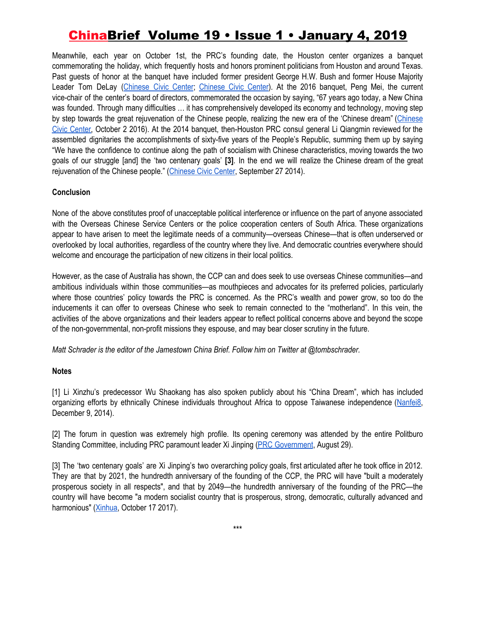Meanwhile, each year on October 1st, the PRC's founding date, the Houston center organizes a banquet commemorating the holiday, which frequently hosts and honors prominent politicians from Houston and around Texas. Past guests of honor at the banquet have included former president George H.W. Bush and former House Majority Leader Tom DeLay ([Chinese](http://www.chineseciviccenter.org/2018gala/2018gala.pdf) Civic Center; [Chinese](http://www.chineseciviccenter.org/images/history/Book-Dashiji-updated.pdf) Civic Center). At the 2016 banquet, Peng Mei, the current vice-chair of the center's board of directors, commemorated the occasion by saying, "67 years ago today, a New China was founded. Through many difficulties … it has comprehensively developed its economy and technology, moving step by step towards the great rejuvenation of the Chinese people, realizing the new era of the 'Chinese dream" ([Chinese](http://www.chineseciviccenter.org/news/20161003.html) Civic [Center,](http://www.chineseciviccenter.org/news/20161003.html) October 2 2016). At the 2014 banquet, then-Houston PRC consul general Li Qiangmin reviewed for the assembled dignitaries the accomplishments of sixty-five years of the People's Republic, summing them up by saying "We have the confidence to continue along the path of socialism with Chinese characteristics, moving towards the two goals of our struggle [and] the 'two centenary goals' **[3]**. In the end we will realize the Chinese dream of the great rejuvenation of the [Chinese](http://www.chineseciviccenter.org/news/20141003_2.html) people." (Chinese Civic Center, September 27 2014).

### **Conclusion**

None of the above constitutes proof of unacceptable political interference or influence on the part of anyone associated with the Overseas Chinese Service Centers or the police cooperation centers of South Africa. These organizations appear to have arisen to meet the legitimate needs of a community—overseas Chinese—that is often underserved or overlooked by local authorities, regardless of the country where they live. And democratic countries everywhere should welcome and encourage the participation of new citizens in their local politics.

However, as the case of Australia has shown, the CCP can and does seek to use overseas Chinese communities—and ambitious individuals within those communities—as mouthpieces and advocates for its preferred policies, particularly where those countries' policy towards the PRC is concerned. As the PRC's wealth and power grow, so too do the inducements it can offer to overseas Chinese who seek to remain connected to the "motherland". In this vein, the activities of the above organizations and their leaders appear to reflect political concerns above and beyond the scope of the non-governmental, non-profit missions they espouse, and may bear closer scrutiny in the future.

*Matt Schrader is the editor of the Jamestown China Brief. Follow him on Twitter at @tombschrader.*

### **Notes**

[1] Li Xinzhu's predecessor Wu Shaokang has also spoken publicly about his "China Dream", which has included organizing efforts by ethnically Chinese individuals throughout Africa to oppose Taiwanese independence [\(Nanfei8,](http://www.nanfei8.com/huarenzixun/huarenzixun/2014-12-09/13206.html) December 9, 2014).

[2] The forum in question was extremely high profile. Its opening ceremony was attended by the entire Politburo Standing Committee, including PRC paramount leader Xi Jinping (PRC [Government](http://www.gov.cn/xinwen/2018-08/29/content_5317466.htm#1), August 29).

[3] The 'two centenary goals' are Xi Jinping's two overarching policy goals, first articulated after he took office in 2012. They are that by 2021, the hundredth anniversary of the founding of the CCP, the PRC will have "built a moderately prosperous society in all respects", and that by 2049—the hundredth anniversary of the founding of the PRC—the country will have become "a modern socialist country that is prosperous, strong, democratic, culturally advanced and harmonious" ([Xinhua,](http://www.xinhuanet.com/english/2017-10/17/c_136686770.htm) October 17 2017).

\*\*\*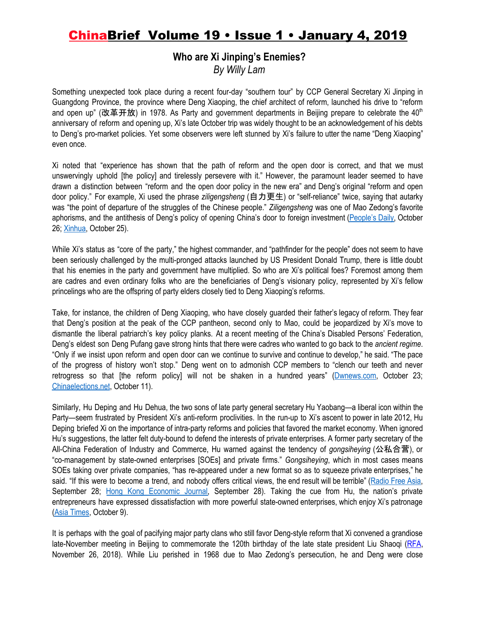# **Who are Xi Jinping's Enemies?**

*By Willy Lam*

Something unexpected took place during a recent four-day "southern tour" by CCP General Secretary Xi Jinping in Guangdong Province, the province where Deng Xiaoping, the chief architect of reform, launched his drive to "reform and open up" (改革开放) in 1978. As Party and government departments in Beijing prepare to celebrate the 40<sup>th</sup> anniversary of reform and opening up, Xi's late October trip was widely thought to be an acknowledgement of his debts to Deng's pro-market policies. Yet some observers were left stunned by Xi's failure to utter the name "Deng Xiaoping" even once.

Xi noted that "experience has shown that the path of reform and the open door is correct, and that we must unswervingly uphold [the policy] and tirelessly persevere with it." However, the paramount leader seemed to have drawn a distinction between "reform and the open door policy in the new era" and Deng's original "reform and open door policy." For example, Xi used the phrase *ziligengsheng* (自力更生) or "self-reliance" twice, saying that autarky was "the point of departure of the struggles of the Chinese people." *Ziligengsheng* was one of Mao Zedong's favorite aphorisms, and the antithesis of Deng's policy of opening China's door to foreign investment [\(People's](http://cpc.people.com.cn/xuexi/n1/2018/1026/c385474-30364904.html) Daily, October 26; [Xinhua](http://www.xinhuanet.com/photo/2018-10/25/c_1123614996.htm), October 25).

While Xi's status as "core of the party," the highest commander, and "pathfinder for the people" does not seem to have been seriously challenged by the multi-pronged attacks launched by US President Donald Trump, there is little doubt that his enemies in the party and government have multiplied. So who are Xi's political foes? Foremost among them are cadres and even ordinary folks who are the beneficiaries of Deng's visionary policy, represented by Xi's fellow princelings who are the offspring of party elders closely tied to Deng Xiaoping's reforms.

Take, for instance, the children of Deng Xiaoping, who have closely guarded their father's legacy of reform. They fear that Deng's position at the peak of the CCP pantheon, second only to Mao, could be jeopardized by Xi's move to dismantle the liberal patriarch's key policy planks. At a recent meeting of the China's Disabled Persons' Federation, Deng's eldest son Deng Pufang gave strong hints that there were cadres who wanted to go back to the *ancient regime*. "Only if we insist upon reform and open door can we continue to survive and continue to develop," he said. "The pace of the progress of history won't stop." Deng went on to admonish CCP members to "clench our teeth and never retrogress so that [the reform policy] will not be shaken in a hundred years" ([Dwnews.com](http://news.dwnews.com/china/news/2018-10-23/60092785.html), October 23; [Chinaelections.net](http://www.chinaelections.net/article/782/250065.html), October 11).

Similarly, Hu Deping and Hu Dehua, the two sons of late party general secretary Hu Yaobang—a liberal icon within the Party—seem frustrated by President Xi's anti-reform proclivities. In the run-up to Xi's ascent to power in late 2012, Hu Deping briefed Xi on the importance of intra-party reforms and policies that favored the market economy. When ignored Hu's suggestions, the latter felt duty-bound to defend the interests of private enterprises. A former party secretary of the All-China Federation of Industry and Commerce, Hu warned against the tendency of *gongsiheying* (公私合营), or "co-management by state-owned enterprises [SOEs] and private firms." *Gongsiheying*, which in most cases means SOEs taking over private companies, "has re-appeared under a new format so as to squeeze private enterprises," he said. "If this were to become a trend, and nobody offers critical views, the end result will be terrible" ([Radio](https://www.rfa.org/cantonese/news/policy-09282018074341.html) Free Asia, September 28; Hong Kong [Economic](http://forum.hkej.com/node/154003-%E8%83%A1%E5%BE%B7%E5%B9%B3%E7%82%AE%E8%BD%9F%E6%96%B0%E5%85%AC%E7%A7%81%E5%90%88%E7%87%9F) Journal, September 28). Taking the cue from Hu, the nation's private entrepreneurs have expressed dissatisfaction with more powerful state-owned enterprises, which enjoy Xi's patronage (Asia [Times,](http://www.atimes.com/article/breaking-down-the-walls-strangling-chinas-private-sector/) October 9).

It is perhaps with the goal of pacifying major party clans who still favor Deng-style reform that Xi convened a grandiose late-November meeting in Beijing to commemorate the 120th birthday of the late state president Liu Shaoqi ([RFA,](https://www.rfa.org/mandarin/zhuanlan/yehuazhongnanhai/gx-11262018143203.html) November 26, 2018). While Liu perished in 1968 due to Mao Zedong's persecution, he and Deng were close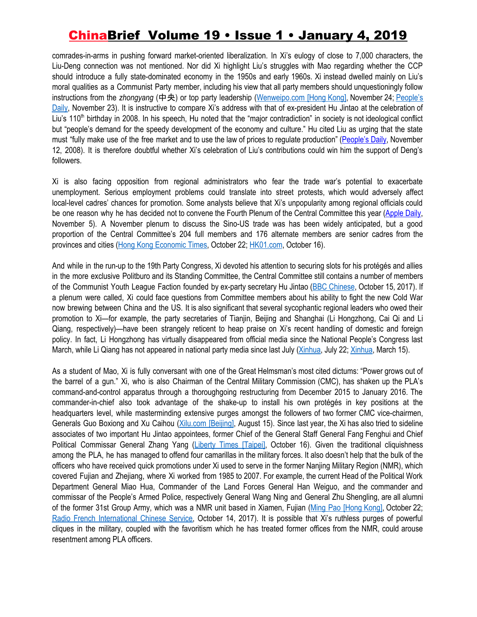comrades-in-arms in pushing forward market-oriented liberalization. In Xi's eulogy of close to 7,000 characters, the Liu-Deng connection was not mentioned. Nor did Xi highlight Liu's struggles with Mao regarding whether the CCP should introduce a fully state-dominated economy in the 1950s and early 1960s. Xi instead dwelled mainly on Liu's moral qualities as a Communist Party member, including his view that all party members should unquestioningly follow instructions from the *zhongyang* (中央) or top party leadership ([Wenweipo.com](http://paper.wenweipo.com/2018/11/24/CH1811240007.htm) [Hong Kong], November 24; [People's](http://politics.people.com.cn/GB/n1/2018/1123/c1024-30418692.html) [Daily](http://politics.people.com.cn/GB/n1/2018/1123/c1024-30418692.html), November 23). It is instructive to compare Xi's address with that of ex-president Hu Jintao at the celebration of Liu's 110<sup>th</sup> birthday in 2008. In his speech, Hu noted that the "major contradiction" in society is not ideological conflict but "people's demand for the speedy development of the economy and culture." Hu cited Liu as urging that the state must "fully make use of the free market and to use the law of prices to regulate production" [\(People's](http://cpc.people.com.cn/GB/64093/64094/8323833.html) Daily, November 12, 2008). It is therefore doubtful whether Xi's celebration of Liu's contributions could win him the support of Deng's followers.

Xi is also facing opposition from regional administrators who fear the trade war's potential to exacerbate unemployment. Serious employment problems could translate into street protests, which would adversely affect local-level cadres' chances for promotion. Some analysts believe that Xi's unpopularity among regional officials could be one reason why he has decided not to convene the Fourth Plenum of the Central Committee this year ([Apple](https://hk.news.appledaily.com/local/daily/article/20181105/20538453) Daily, November 5). A November plenum to discuss the Sino-US trade was has been widely anticipated, but a good proportion of the Central Committee's 204 full members and 176 alternate members are senior cadres from the provinces and cities (Hong Kong [Economic](https://china.hket.com/article/2190827/%E8%B2%BF%E6%88%B0%E9%99%B0%E9%9B%B2%E7%B1%A0%E7%BD%A9%20%E5%82%B3%E5%9B%9B%E4%B8%AD%E5%85%A8%E6%9C%8311%E6%9C%88%E4%B8%8A%E6%97%AC%E5%8F%AC%E9%96%8B) Times, October 22; [HK01.com](https://www.hk01.com/%E8%AD%B0%E4%BA%8B%E5%BB%B3/247627/%E5%9B%9B%E4%B8%AD%E5%85%A8%E6%9C%83%E6%88%96%E5%B0%87%E5%9C%A8%E6%9C%AC%E6%9C%88%E4%B8%8B%E6%97%AC%E5%8F%AC%E9%96%8B-%E9%A0%90%E6%96%99%E8%81%9A%E7%84%A6%E6%94%B9%E9%9D%A9%E9%96%8B%E6%94%BE%E5%8F%8A%E4%B8%AD%E7%BE%8E%E8%B2%BF%E6%98%93%E6%88%B0), October 16).

And while in the run-up to the 19th Party Congress, Xi devoted his attention to securing slots for his protégés and allies in the more exclusive Politburo and its Standing Committee, the Central Committee still contains a number of members of the Communist Youth League Faction founded by ex-party secretary Hu Jintao (BBC [Chinese](https://www.bbc.com/zhongwen/simp/chinese-news-41752378), October 15, 2017). If a plenum were called, Xi could face questions from Committee members about his ability to fight the new Cold War now brewing between China and the US. It is also significant that several sycophantic regional leaders who owed their promotion to Xi—for example, the party secretaries of Tianjin, Beijing and Shanghai (Li Hongzhong, Cai Qi and Li Qiang, respectively)—have been strangely reticent to heap praise on Xi's recent handling of domestic and foreign policy. In fact, Li Hongzhong has virtually disappeared from official media since the National People's Congress last March, while Li Qiang has not appeared in national party media since last July ([Xinhua,](http://www.xinhuanet.com/politics/leaders/liqiang/) July 22; [Xinhua](http://www.xinhuanet.com/politics/leaders/lihongzhong/hyhd.htm), March 15).

As a student of Mao, Xi is fully conversant with one of the Great Helmsman's most cited dictums: "Power grows out of the barrel of a gun." Xi, who is also Chairman of the Central Military Commission (CMC), has shaken up the PLA's command-and-control apparatus through a thoroughgoing restructuring from December 2015 to January 2016. The commander-in-chief also took advantage of the shake-up to install his own protégés in key positions at the headquarters level, while masterminding extensive purges amongst the followers of two former CMC vice-chairmen, Generals Guo Boxiong and Xu Caihou [\(Xilu.com](http://www.xilu.com/jstj/20160815/1000010000956449.html) [Beijing], August 15). Since last year, the Xi has also tried to sideline associates of two important Hu Jintao appointees, former Chief of the General Staff General Fang Fenghui and Chief Political Commissar General Zhang Yang (Liberty Times [\[Taipei\]](http://news.ltn.com.tw/news/world/breakingnews/2582752), October 16). Given the traditional cliquishness among the PLA, he has managed to offend four camarillas in the military forces. It also doesn't help that the bulk of the officers who have received quick promotions under Xi used to serve in the former Nanjing Military Region (NMR), which covered Fujian and Zhejiang, where Xi worked from 1985 to 2007. For example, the current Head of the Political Work Department General Miao Hua, Commander of the Land Forces General Han Weiguo, and the commander and commissar of the People's Armed Police, respectively General Wang Ning and General Zhu Shengling, are all alumni of the former 31st Group Army, which was a NMR unit based in Xiamen, Fujian (Ming Pao [\[Hong](https://news.mingpao.com/pns/dailynews/web_tc/article/20181022/s00013/1540146385006) Kong], October 22; Radio French [International](http://cn.rfi.fr/%E4%B8%AD%E5%9B%BD/20171014-19%E5%A4%A7%E5%89%8D%E4%B9%A0%E5%AE%B6%E5%86%9B%E6%8E%8C%E6%8E%A7%E4%BA%86%E6%89%80%E6%9C%89%E5%86%9B%E6%9D%83%E5%86%9B%E5%A7%94%E4%B8%8E5%E5%86%9B%E7%A7%8D) Chinese Service, October 14, 2017). It is possible that Xi's ruthless purges of powerful cliques in the military, coupled with the favoritism which he has treated former offices from the NMR, could arouse resentment among PLA officers.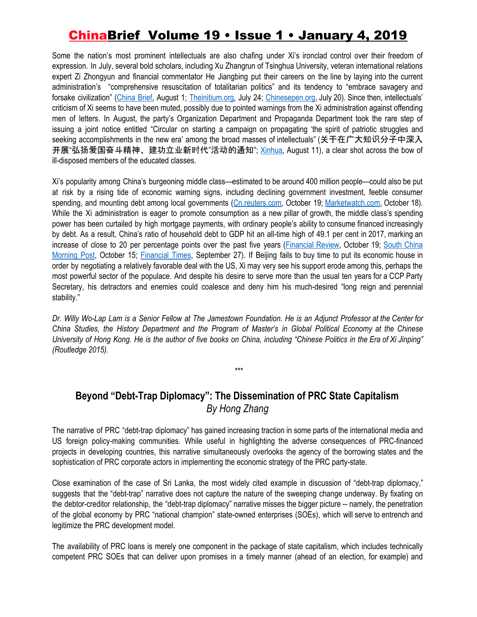Some the nation's most prominent intellectuals are also chafing under Xi's ironclad control over their freedom of expression. In July, several bold scholars, including Xu Zhangrun of Tsinghua University, veteran international relations expert Zi Zhongyun and financial commentator He Jiangbing put their careers on the line by laying into the current administration's "comprehensive resuscitation of totalitarian politics" and its tendency to "embrace savagery and forsake civilization" [\(China](https://jamestown.org/program/xis-grip-on-authority-loosens-amid-trade-war-policy-paralysis/) Brief, August 1; [Theinitium.org,](https://theinitium.com/article/20180724-opinion-xuzhangrun-fear-hope/) July 24; [Chinesepen.org,](https://www.chinesepen.org/blog/archives/106707) July 20). Since then, intellectuals' criticism of Xi seems to have been muted, possibly due to pointed warnings from the Xi administration against offending men of letters. In August, the party's Organization Department and Propaganda Department took the rare step of issuing a joint notice entitled "Circular on starting a campaign on propagating 'the spirit of patriotic struggles and seeking accomplishments in the new era' among the broad masses of intellectuals" (关于在广大知识分子中深入 开展"弘扬爱国奋斗精神、建功立业新时代"活动的通知"; [Xinhua](http://www.xinhuanet.com/2018-08/11/c_1123255697.htm), August 11), a clear shot across the bow of ill-disposed members of the educated classes.

Xi's popularity among China's burgeoning middle class—estimated to be around 400 million people—could also be put at risk by a rising tide of economic warning signs, including declining government investment, feeble consumer spending, and mounting debt among local governments ([Cn.reuters.com,](https://cn.reuters.com/article/china-gdp-downward-pressure-policy-1019-idCNKCS1MT0OW) October 19; [Marketwatch.com](https://www.marketwatch.com/story/chinas-growth-slows-to-weakest-pace-since-financial-crisis-2018-10-18), October 18). While the Xi administration is eager to promote consumption as a new pillar of growth, the middle class's spending power has been curtailed by high mortgage payments, with ordinary people's ability to consume financed increasingly by debt. As a result, China's ratio of household debt to GDP hit an all-time high of 49.1 per cent in 2017, marking an increase of close to 20 per percentage points over the past five years ([Financial](https://www.afr.com/news/world/asia/china-economic-growth-slips-to-weakest-since-gfc-demand-ebbs-as-trade-war-bites-20181019-h16vb1) Review, October 19; South [China](https://www.scmp.com/economy/china-economy/article/2168184/china-wants-its-middle-class-spend-big-they-have-bills-pay) [Morning](https://www.scmp.com/economy/china-economy/article/2168184/china-wants-its-middle-class-spend-big-they-have-bills-pay) Post, October 15; [Financial](https://www.ft.com/content/5d01b4d8-c1f9-11e8-95b1-d36dfef1b89a) Times, September 27). If Beijing fails to buy time to put its economic house in order by negotiating a relatively favorable deal with the US, Xi may very see his support erode among this, perhaps the most powerful sector of the populace. And despite his desire to serve more than the usual ten years for a CCP Party Secretary, his detractors and enemies could coalesce and deny him his much-desired "long reign and perennial stability."

Dr. Willy Wo-Lap Lam is a Senior Fellow at The Jamestown Foundation. He is an Adiunct Professor at the Center for China Studies, the History Department and the Program of Master's in Global Political Economy at the Chinese University of Hong Kong. He is the author of five books on China, including "Chinese Politics in the Era of Xi Jinping" *(Routledge 2015).*

\*\*\*

### **Beyond "Debt-Trap Diplomacy": The Dissemination of PRC State Capitalism** *By Hong Zhang*

The narrative of PRC "debt-trap diplomacy" has gained increasing traction in some parts of the international media and US foreign policy-making communities. While useful in highlighting the adverse consequences of PRC-financed projects in developing countries, this narrative simultaneously overlooks the agency of the borrowing states and the sophistication of PRC corporate actors in implementing the economic strategy of the PRC party-state.

Close examination of the case of Sri Lanka, the most widely cited example in discussion of "debt-trap diplomacy," suggests that the "debt-trap" narrative does not capture the nature of the sweeping change underway. By fixating on the debtor-creditor relationship, the "debt-trap diplomacy" narrative misses the bigger picture -- namely, the penetration of the global economy by PRC "national champion" state-owned enterprises (SOEs), which will serve to entrench and legitimize the PRC development model.

The availability of PRC loans is merely one component in the package of state capitalism, which includes technically competent PRC SOEs that can deliver upon promises in a timely manner (ahead of an election, for example) and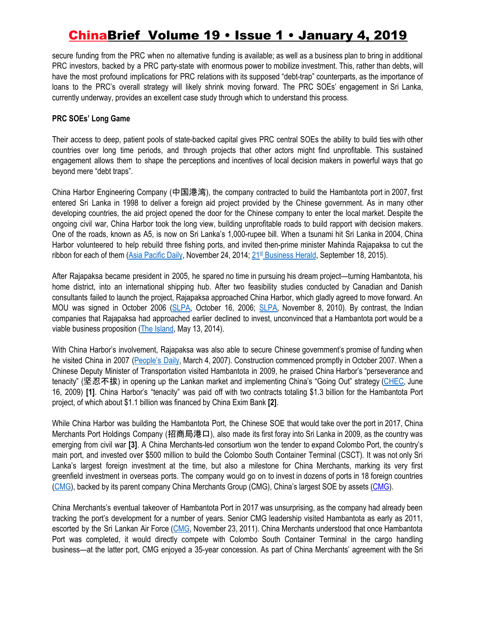secure funding from the PRC when no alternative funding is available; as well as a business plan to bring in additional PRC investors, backed by a PRC party-state with enormous power to mobilize investment. This, rather than debts, will have the most profound implications for PRC relations with its supposed "debt-trap" counterparts, as the importance of loans to the PRC's overall strategy will likely shrink moving forward. The PRC SOEs' engagement in Sri Lanka, currently underway, provides an excellent case study through which to understand this process.

### **PRC SOEs' Long Game**

Their access to deep, patient pools of state-backed capital gives PRC central SOEs the ability to build ties with other countries over long time periods, and through projects that other actors might find unprofitable. This sustained engagement allows them to shape the perceptions and incentives of local decision makers in powerful ways that go beyond mere "debt traps".

China Harbor Engineering Company (中国港湾), the company contracted to build the Hambantota port in 2007, first entered Sri Lanka in 1998 to deliver a foreign aid project provided by the Chinese government. As in many other developing countries, the aid project opened the door for the Chinese company to enter the local market. Despite the ongoing civil war, China Harbor took the long view, building unprofitable roads to build rapport with decision makers. One of the roads, known as A5, is now on Sri Lanka's 1,000-rupee bill. When a tsunami hit Sri Lanka in 2004, China Harbor volunteered to help rebuild three fishing ports, and invited then-prime minister Mahinda Rajapaksa to cut the ribbon for each of them (Asia [Pacific](https://cn.apdnews.com/srilanka/quyugongsi/118280.html) Daily, November 24, 2014; [21](http://m.21jingji.com/article/20150918/a98412e245efe3ffc473f6e968e79699.html)<sup>[st](http://m.21jingji.com/article/20150918/a98412e245efe3ffc473f6e968e79699.html)</sup> [Business](http://m.21jingji.com/article/20150918/a98412e245efe3ffc473f6e968e79699.html) Herald, September 18, 2015).

After Rajapaksa became president in 2005, he spared no time in pursuing his dream project—turning Hambantota, his home district, into an international shipping hub. After two feasibility studies conducted by Canadian and Danish consultants failed to launch the project, Rajapaksa approached China Harbor, which gladly agreed to move forward. An MOU was signed in October 2006 [\(SLPA](http://portcom.slpa.lk/news_events_3.asp), October 16, 2006; [SLPA,](http://portcom.slpa.lk/news_events_220.asp) November 8, 2010). By contrast, the Indian companies that Rajapaksa had approached earlier declined to invest, unconvinced that a Hambantota port would be a viable business proposition (The [Island,](http://www.island.lk/index.php?page_cat=article-details&page=article-details&code_title=103262) May 13, 2014).

With China Harbor's involvement, Rajapaksa was also able to secure Chinese government's promise of funding when he visited China in 2007 [\(People's](http://paper.people.com.cn/rmrb/html/2007-03/04/content_12404483.htm) Daily, March 4, 2007). Construction commenced promptly in October 2007. When a Chinese Deputy Minister of Transportation visited Hambantota in 2009, he praised China Harbor's "perseverance and tenacity" (坚忍不拔) in opening up the Lankan market and implementing China's "Going Out" strategy ([CHEC](http://www.chec.bj.cn/tabid/363/InfoID/1029/Default.aspx), June 16, 2009) **[1]**. China Harbor's "tenacity" was paid off with two contracts totaling \$1.3 billion for the Hambantota Port project, of which about \$1.1 billion was financed by China Exim Bank **[2]**.

While China Harbor was building the Hambantota Port, the Chinese SOE that would take over the port in 2017, China Merchants Port Holdings Company (招商局港口), also made its first foray into Sri Lanka in 2009, as the country was emerging from civil war **[3]**. A China Merchants-led consortium won the tender to expand Colombo Port, the country's main port, and invested over \$500 million to build the Colombo South Container Terminal (CSCT). It was not only Sri Lanka's largest foreign investment at the time, but also a milestone for China Merchants, marking its very first greenfield investment in overseas ports. The company would go on to invest in dozens of ports in 18 foreign countries ([CMG](http://www.cmhk.com/main/ywfw/jt/gk/index.shtml)), backed by its parent company China Merchants Group (CMG), China's largest SOE by assets [\(CMG\)](http://www.cmhk.com/main/a/2015/k07/a199_201.shtml).

China Merchants's eventual takeover of Hambantota Port in 2017 was unsurprising, as the company had already been tracking the port's development for a number of years. Senior CMG leadership visited Hambantota as early as 2011, escorted by the Sri Lankan Air Force ([CMG,](http://www.cmhk.com/main/a/2015/k13/a20991_21046.shtml?4) November 23, 2011). China Merchants understood that once Hambantota Port was completed, it would directly compete with Colombo South Container Terminal in the cargo handling business—at the latter port, CMG enjoyed a 35-year concession. As part of China Merchants' agreement with the Sri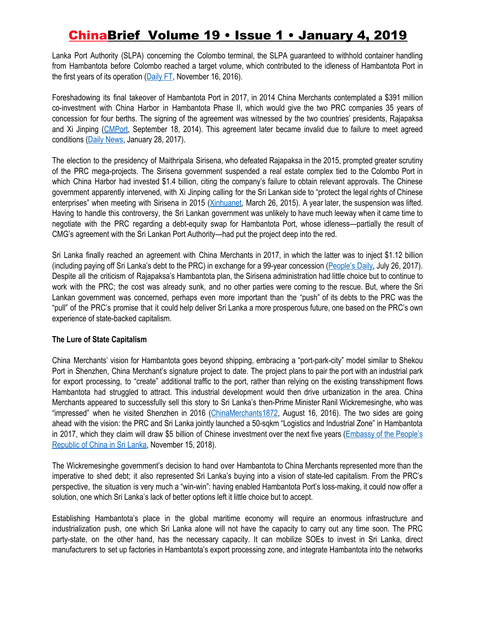Lanka Port Authority (SLPA) concerning the Colombo terminal, the SLPA guaranteed to withhold container handling from Hambantota before Colombo reached a target volume, which contributed to the idleness of Hambantota Port in the first years of its operation  $(Daiiy FT, November 16, 2016)$ .

Foreshadowing its final takeover of Hambantota Port in 2017, in 2014 China Merchants contemplated a \$391 million co-investment with China Harbor in Hambantota Phase II, which would give the two PRC companies 35 years of concession for four berths. The signing of the agreement was witnessed by the two countries' presidents, Rajapaksa and Xi Jinping ([CMPort](http://www.cmport.com.hk/touch/news/Detail.aspx?id=10000336), September 18, 2014). This agreement later became invalid due to failure to meet agreed conditions (Daily [News](http://www.dailynews.lk/2017/01/28/features/105973/leasing-hambantota-port-rationale-economic-benefits-and-way-forward), January 28, 2017).

The election to the presidency of Maithripala Sirisena, who defeated Rajapaksa in the 2015, prompted greater scrutiny of the PRC mega-projects. The Sirisena government suspended a real estate complex tied to the Colombo Port in which China Harbor had invested \$1.4 billion, citing the company's failure to obtain relevant approvals. The Chinese government apparently intervened, with Xi Jinping calling for the Sri Lankan side to "protect the legal rights of Chinese enterprises" when meeting with Sirisena in 2015 [\(Xinhuanet](http://www.xinhuanet.com/world/2015-03/26/c_1114774711.htm), March 26, 2015). A year later, the suspension was lifted. Having to handle this controversy, the Sri Lankan government was unlikely to have much leeway when it came time to negotiate with the PRC regarding a debt-equity swap for Hambantota Port, whose idleness—partially the result of CMG's agreement with the Sri Lankan Port Authority—had put the project deep into the red.

Sri Lanka finally reached an agreement with China Merchants in 2017, in which the latter was to inject \$1.12 billion (including paying off Sri Lanka's debt to the PRC) in exchange for a 99-year concession ([People's](http://www.xinhuanet.com/politics/2017-07/26/c_129663515.htm) Daily, July 26, 2017). Despite all the criticism of Rajapaksa's Hambantota plan, the Sirisena administration had little choice but to continue to work with the PRC; the cost was already sunk, and no other parties were coming to the rescue. But, where the Sri Lankan government was concerned, perhaps even more important than the "push" of its debts to the PRC was the "pull" of the PRC's promise that it could help deliver Sri Lanka a more prosperous future, one based on the PRC's own experience of state-backed capitalism.

### **The Lure of State Capitalism**

China Merchants' vision for Hambantota goes beyond shipping, embracing a "port-park-city" model similar to Shekou Port in Shenzhen, China Merchant's signature project to date. The project plans to pair the port with an industrial park for export processing, to "create" additional traffic to the port, rather than relying on the existing transshipment flows Hambantota had struggled to attract. This industrial development would then drive urbanization in the area. China Merchants appeared to successfully sell this story to Sri Lanka's then-Prime Minister Ranil Wickremesinghe, who was "impressed" when he visited Shenzhen in 2016 [\(ChinaMerchants1872,](https://mp.weixin.qq.com/s/pQUdX1IPJ5HxYDu1_5QVgQ) August 16, 2016). The two sides are going ahead with the vision: the PRC and Sri Lanka jointly launched a 50-sqkm "Logistics and Industrial Zone" in Hambantota in 2017, which they claim will draw \$5 billion of Chinese investment over the next five years ([Embassy](http://lk.china-embassy.org/eng/xwdt/t1510856.htm) of the People's [Republic](http://lk.china-embassy.org/eng/xwdt/t1510856.htm) of China in Sri Lanka, November 15, 2018).

The Wickremesinghe government's decision to hand over Hambantota to China Merchants represented more than the imperative to shed debt; it also represented Sri Lanka's buying into a vision of state-led capitalism. From the PRC's perspective, the situation is very much a "win-win": having enabled Hambantota Port's loss-making, it could now offer a solution, one which Sri Lanka's lack of better options left it little choice but to accept.

Establishing Hambantota's place in the global maritime economy will require an enormous infrastructure and industrialization push, one which Sri Lanka alone will not have the capacity to carry out any time soon. The PRC party-state, on the other hand, has the necessary capacity. It can mobilize SOEs to invest in Sri Lanka, direct manufacturers to set up factories in Hambantota's export processing zone, and integrate Hambantota into the networks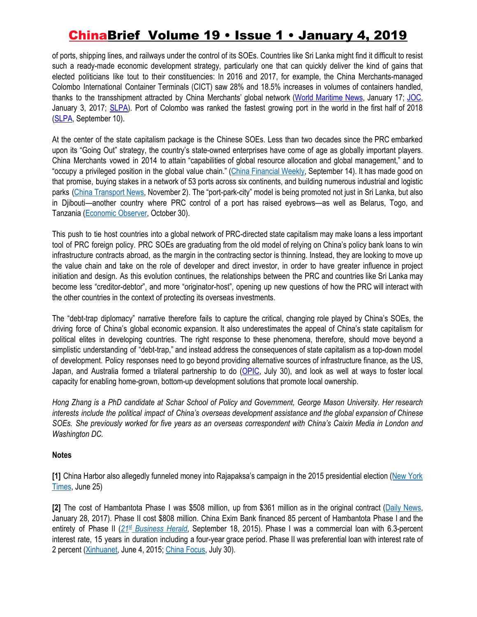of ports, shipping lines, and railways under the control of its SOEs. Countries like Sri Lanka might find it difficult to resist such a ready-made economic development strategy, particularly one that can quickly deliver the kind of gains that elected politicians like tout to their constituencies: In 2016 and 2017, for example, the China Merchants-managed Colombo International Container Terminals (CICT) saw 28% and 18.5% increases in volumes of containers handled, thanks to the transshipment attracted by China Merchants' global network (World [Maritime](https://worldmaritimenews.com/archives/241002/cmport-marks-100-mn-teu-milestone-in-2017/) News, January 17; [JOC,](https://www.joc.com/port-news/asian-ports/port-colombo/colombo-terminal-volume-sets-record-capacity-concerns-surface_20170103.html) January 3, 2017; [SLPA](http://www.slpa.lk/application_resources/images/stat.pdf)). Port of Colombo was ranked the fastest growing port in the world in the first half of 2018 ([SLPA](http://www.slpa.lk/port-colombo-page/7db78218df2375096e81244565fc0774/bca9d20c4c2b6d0e0e72a365cb88abbea3ee69a6), September 10).

At the center of the state capitalism package is the Chinese SOEs. Less than two decades since the PRC embarked upon its "Going Out" strategy, the country's state-owned enterprises have come of age as globally important players. China Merchants vowed in 2014 to attain "capabilities of global resource allocation and global management," and to "occupy a privileged position in the global value chain." (China [Financial](http://www.lwinst.com/cjgjzk201819/7587.htm) Weekly, September 14). It has made good on that promise, buying stakes in a network of 53 ports across six continents, and building numerous industrial and logistic parks (China [Transport](http://www.cmhk.com/main/a/2018/k02/a36999_37518.shtml) News, November 2). The "port-park-city" model is being promoted not just in Sri Lanka, but also in Djibouti—another country where PRC control of a port has raised eyebrows—as well as Belarus, Togo, and Tanzania ([Economic](http://www.eeo.com.cn/2018/1030/339988.shtml) Observer, October 30).

This push to tie host countries into a global network of PRC-directed state capitalism may make loans a less important tool of PRC foreign policy. PRC SOEs are graduating from the old model of relying on China's policy bank loans to win infrastructure contracts abroad, as the margin in the contracting sector is thinning. Instead, they are looking to move up the value chain and take on the role of developer and direct investor, in order to have greater influence in project initiation and design. As this evolution continues, the relationships between the PRC and countries like Sri Lanka may become less "creditor-debtor", and more "originator-host", opening up new questions of how the PRC will interact with the other countries in the context of protecting its overseas investments.

The "debt-trap diplomacy" narrative therefore fails to capture the critical, changing role played by China's SOEs, the driving force of China's global economic expansion. It also underestimates the appeal of China's state capitalism for political elites in developing countries. The right response to these phenomena, therefore, should move beyond a simplistic understanding of "debt-trap," and instead address the consequences of state capitalism as a top-down model of development. Policy responses need to go beyond providing alternative sources of infrastructure finance, as the US, Japan, and Australia formed a trilateral partnership to do ([OPIC,](https://www.opic.gov/press-releases/2018/us-japan-australia-announce-trilateral-partnership-indo-pacific-infrastructure-investment) July 30), and look as well at ways to foster local capacity for enabling home-grown, bottom-up development solutions that promote local ownership.

Hong Zhang is a PhD candidate at Schar School of Policy and Government, George Mason University. Her research interests include the political impact of China's overseas development assistance and the global expansion of Chinese SOEs. She previously worked for five years as an overseas correspondent with China's Caixin Media in London and *Washington DC.*

### **Notes**

**[1]** China Harbor also allegedly funneled money into Rajapaksa's campaign in the 2015 presidential election [\(New](https://www.nytimes.com/2018/06/25/world/asia/china-sri-lanka-port.html) York [Times,](https://www.nytimes.com/2018/06/25/world/asia/china-sri-lanka-port.html) June 25)

**[2]** The cost of Hambantota Phase I was \$508 million, up from \$361 million as in the original contract (Daily [News,](http://www.dailynews.lk/2017/01/28/features/105973/leasing-hambantota-port-rationale-economic-benefits-and-way-forward) January 28, 2017). Phase II cost \$808 million. China Exim Bank financed 85 percent of Hambantota Phase I and the entirety of Phase II ([21](http://m.21jingji.com/article/20150918/a98412e245efe3ffc473f6e968e79699.html)<sup>[st](http://m.21jingji.com/article/20150918/a98412e245efe3ffc473f6e968e79699.html)</sup> [Business](http://m.21jingji.com/article/20150918/a98412e245efe3ffc473f6e968e79699.html) Herald, September 18, 2015). Phase I was a commercial loan with 6.3-percent interest rate, 15 years in duration including a four-year grace period. Phase II was preferential loan with interest rate of 2 percent [\(Xinhuanet,](http://www.xinhuanet.com/english/2015-06/04/c_134297249.htm) June 4, 2015; China [Focus](http://www.cnfocus.com/did-china-get-sri-lanka-to-cough-up-a-port/), July 30).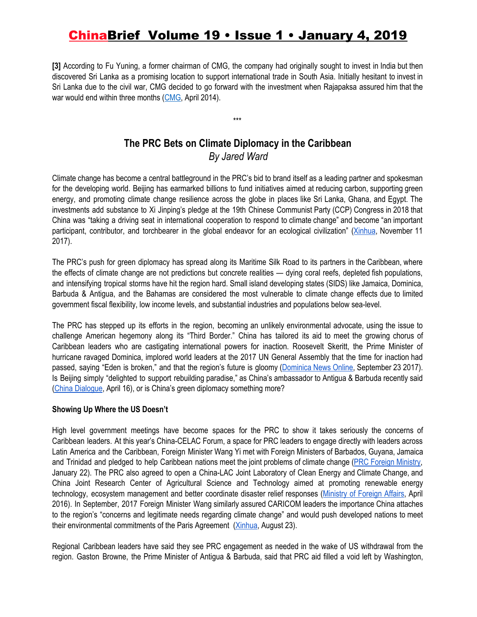**[3]** According to Fu Yuning, a former chairman of CMG, the company had originally sought to invest in India but then discovered Sri Lanka as a promising location to support international trade in South Asia. Initially hesitant to invest in Sri Lanka due to the civil war, CMG decided to go forward with the investment when Rajapaksa assured him that the war would end within three months ([CMG](http://www.cmhk.com/extResource/magazine/177/177.pdf), April 2014).

## **The PRC Bets on Climate Diplomacy in the Caribbean** *By Jared Ward*

\*\*\*

Climate change has become a central battleground in the PRC's bid to brand itself as a leading partner and spokesman for the developing world. Beijing has earmarked billions to fund initiatives aimed at reducing carbon, supporting green energy, and promoting climate change resilience across the globe in places like Sri Lanka, Ghana, and Egypt. The investments add substance to Xi Jinping's pledge at the 19th Chinese Communist Party (CCP) Congress in 2018 that China was "taking a driving seat in international cooperation to respond to climate change" and become "an important participant, contributor, and torchbearer in the global endeavor for an ecological civilization" [\(Xinhua](http://www.xinhuanet.com/english/special/2017-11/03/c_136725942.htm), November 11 2017).

The PRC's push for green diplomacy has spread along its Maritime Silk Road to its partners in the Caribbean, where the effects of climate change are not predictions but concrete realities — dying coral reefs, depleted fish populations, and intensifying tropical storms have hit the region hard. Small island developing states (SIDS) like Jamaica, Dominica, Barbuda & Antigua, and the Bahamas are considered the most vulnerable to climate change effects due to limited government fiscal flexibility, low income levels, and substantial industries and populations below sea-level.

The PRC has stepped up its efforts in the region, becoming an unlikely environmental advocate, using the issue to challenge American hegemony along its "Third Border." China has tailored its aid to meet the growing chorus of Caribbean leaders who are castigating international powers for inaction. Roosevelt Skeritt, the Prime Minister of hurricane ravaged Dominica, implored world leaders at the 2017 UN General Assembly that the time for inaction had passed, saying "Eden is broken," and that the region's future is gloomy [\(Dominica](http://dominicanewsonline.com/news/homepage/news/video-prime-minister-skerrit-to-un-general-assembly-eden-is-broken/) News Online, September 23 2017). Is Beijing simply "delighted to support rebuilding paradise," as China's ambassador to Antigua & Barbuda recently said (China [Dialogue](https://www.chinadialogue.net/article/show/single/en/10568-Chinese-tourism-investments-flow-into-Antigua-and-Barbuda-despite-risks), April 16), or is China's green diplomacy something more?

### **Showing Up Where the US Doesn't**

High level government meetings have become spaces for the PRC to show it takes seriously the concerns of Caribbean leaders. At this year's China-CELAC Forum, a space for PRC leaders to engage directly with leaders across Latin America and the Caribbean, Foreign Minister Wang Yi met with Foreign Ministers of Barbados, Guyana, Jamaica and Trinidad and pledged to help Caribbean nations meet the joint problems of climate change (PRC Foreign [Ministry](https://www.fmprc.gov.cn/mfa_eng/zxxx_662805/t1528306.shtml), January 22). The PRC also agreed to open a China-LAC Joint Laboratory of Clean Energy and Climate Change, and China Joint Research Center of Agricultural Science and Technology aimed at promoting renewable energy technology, ecosystem management and better coordinate disaster relief responses ([Ministry](http://www.chinacelacforum.org/eng/ltjj_1/P020161207421177845816.pdf) of Foreign Affairs, April 2016). In September, 2017 Foreign Minister Wang similarly assured CARICOM leaders the importance China attaches to the region's "concerns and legitimate needs regarding climate change" and would push developed nations to meet their environmental commitments of the Paris Agreement [\(Xinhua,](http://www.xinhuanet.com/english/2018-09/23/c_137487893.htm) August 23).

Regional Caribbean leaders have said they see PRC engagement as needed in the wake of US withdrawal from the region. Gaston Browne, the Prime Minister of Antigua & Barbuda, said that PRC aid filled a void left by Washington,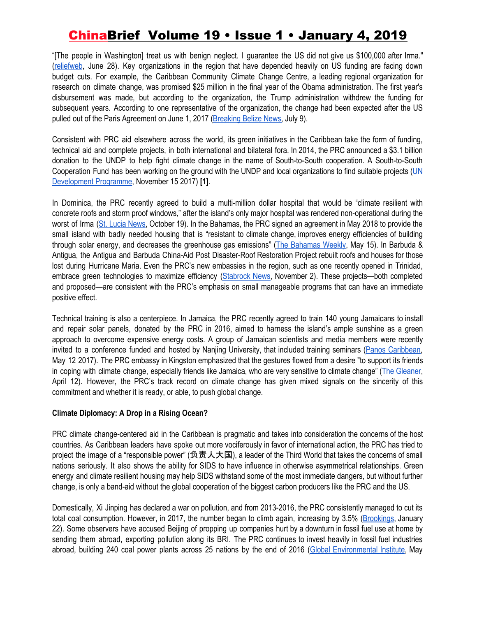"[The people in Washington] treat us with benign neglect. I guarantee the US did not give us \$100,000 after Irma." ([reliefweb](https://reliefweb.int/report/antigua-and-barbuda/china-funded-roofing-project-barbuda-meets-target-250-homes), June 28). Key organizations in the region that have depended heavily on US funding are facing down budget cuts. For example, the Caribbean Community Climate Change Centre, a leading regional organization for research on climate change, was promised \$25 million in the final year of the Obama administration. The first year's disbursement was made, but according to the organization, the Trump administration withdrew the funding for subsequent years. According to one representative of the organization, the change had been expected after the US pulled out of the Paris Agreement on June 1, 2017 ([Breaking](https://www.breakingbelizenews.com/2018/07/09/caribbean-community-climate-change-center-trump-cutting-funding-was-expected/) Belize News, July 9).

Consistent with PRC aid elsewhere across the world, its green initiatives in the Caribbean take the form of funding, technical aid and complete projects, in both international and bilateral fora. In 2014, the PRC announced a \$3.1 billion donation to the UNDP to help fight climate change in the name of South-to-South cooperation. A South-to-South Cooperation Fund has been working on the ground with the [UN](http://www.undp.org/content/undp/en/home/news-centre/speeches/2017/south-south-cooperation-on-climate-change.html)DP and local organizations to find suitable projects (UN [Development](http://www.undp.org/content/undp/en/home/news-centre/speeches/2017/south-south-cooperation-on-climate-change.html) Programme, November 15 2017) **[1]**.

In Dominica, the PRC recently agreed to build a multi-million dollar hospital that would be "climate resilient with concrete roofs and storm proof windows," after the island's only major hospital was rendered non-operational during the worst of Irma (St. Lucia [News,](https://www.stlucianewsonline.com/dominica-pm-skerrit-pleased-with-ongoing-diplomatic-relations-with-china/) October 19). In the Bahamas, the PRC signed an agreement in May 2018 to provide the small island with badly needed housing that is "resistant to climate change, improves energy efficiencies of building through solar energy, and decreases the greenhouse gas emissions" (The [Bahamas](http://www.thebahamasweekly.com/publish/international/MOU_signed_between_Bahamaren_and_China_Construction_Modular_Housing58104.shtml) Weekly, May 15). In Barbuda & Antigua, the Antigua and Barbuda China-Aid Post Disaster-Roof Restoration Project rebuilt roofs and houses for those lost during Hurricane Maria. Even the PRC's new embassies in the region, such as one recently opened in Trinidad, embrace green technologies to maximize efficiency ([Stabrock](https://www.stabroeknews.com/2018/news/regional/trinidad/11/02/china-opens-largest-caribbean-embassy-in-trinidad-tobago/) News, November 2). These projects—both completed and proposed—are consistent with the PRC's emphasis on small manageable programs that can have an immediate positive effect.

Technical training is also a centerpiece. In Jamaica, the PRC recently agreed to train 140 young Jamaicans to install and repair solar panels, donated by the PRC in 2016, aimed to harness the island's ample sunshine as a green approach to overcome expensive energy costs. A group of Jamaican scientists and media members were recently invited to a conference funded and hosted by Nanjing University, that included training seminars (Panos [Caribbean](http://panoscaribbean.org/acceuil/15-english/news-updates/jamaica-news/92-panos-caribbean-among-participants-in-climate-information-service-course-in-china)), May 12 2017). The PRC embassy in Kingston emphasized that the gestures flowed from a desire "to support its friends in coping with climate change, especially friends like Jamaica, who are very sensitive to climate change" (The [Gleaner,](http://jamaica-gleaner.com/article/news/20180412/earth-today-china-makes-energy-mark-clarendon-entity) April 12). However, the PRC's track record on climate change has given mixed signals on the sincerity of this commitment and whether it is ready, or able, to push global change.

### **Climate Diplomacy: A Drop in a Rising Ocean?**

PRC climate change-centered aid in the Caribbean is pragmatic and takes into consideration the concerns of the host countries. As Caribbean leaders have spoke out more vociferously in favor of international action, the PRC has tried to project the image of a "responsible power" (负责人大国), a leader of the Third World that takes the concerns of small nations seriously. It also shows the ability for SIDS to have influence in otherwise asymmetrical relationships. Green energy and climate resilient housing may help SIDS withstand some of the most immediate dangers, but without further change, is only a band-aid without the global cooperation of the biggest carbon producers like the PRC and the US.

Domestically, Xi Jinping has declared a war on pollution, and from 2013-2016, the PRC consistently managed to cut its total coal consumption. However, in 2017, the number began to climb again, increasing by 3.5% ([Brookings](https://www.brookings.edu/2018/01/22/chinas-coal-consumption-has-peaked/), January 22). Some observers have accused Beijing of propping up companies hurt by a downturn in fossil fuel use at home by sending them abroad, exporting pollution along its BRI. The PRC continues to invest heavily in fossil fuel industries abroad, building 240 coal power plants across 25 nations by the end of 2016 (Global [Environmental](http://www.geichina.org/_upload/file/report/China%27s_Involvement_in_Coal-fired_Power_Projects_OBOR_EN.pdf) Institute, May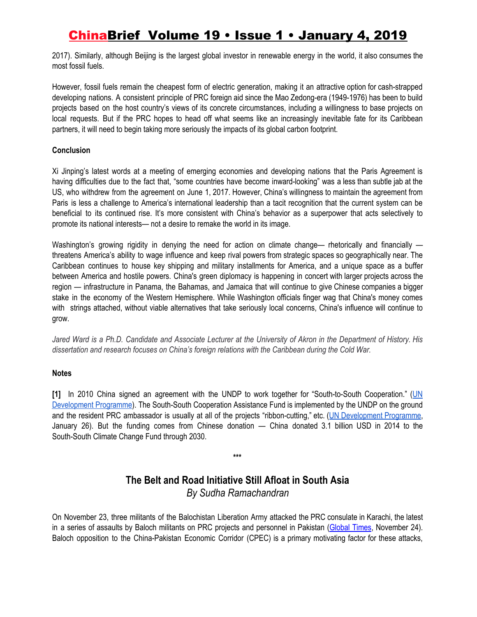2017). Similarly, although Beijing is the largest global investor in renewable energy in the world, it also consumes the most fossil fuels.

However, fossil fuels remain the cheapest form of electric generation, making it an attractive option for cash-strapped developing nations. A consistent principle of PRC foreign aid since the Mao Zedong-era (1949-1976) has been to build projects based on the host country's views of its concrete circumstances, including a willingness to base projects on local requests. But if the PRC hopes to head off what seems like an increasingly inevitable fate for its Caribbean partners, it will need to begin taking more seriously the impacts of its global carbon footprint.

### **Conclusion**

Xi Jinping's latest words at a meeting of emerging economies and developing nations that the Paris Agreement is having difficulties due to the fact that, "some countries have become inward-looking" was a less than subtle jab at the US, who withdrew from the agreement on June 1, 2017. However, China's willingness to maintain the agreement from Paris is less a challenge to America's international leadership than a tacit recognition that the current system can be beneficial to its continued rise. It's more consistent with China's behavior as a superpower that acts selectively to promote its national interests— not a desire to remake the world in its image.

Washington's growing rigidity in denying the need for action on climate change— rhetorically and financially threatens America's ability to wage influence and keep rival powers from strategic spaces so geographically near. The Caribbean continues to house key shipping and military installments for America, and a unique space as a buffer between America and hostile powers. China's green diplomacy is happening in concert with larger projects across the region — infrastructure in Panama, the Bahamas, and Jamaica that will continue to give Chinese companies a bigger stake in the economy of the Western Hemisphere. While Washington officials finger wag that China's money comes with strings attached, without viable alternatives that take seriously local concerns, China's influence will continue to grow.

Jared Ward is a Ph.D. Candidate and Associate Lecturer at the University of Akron in the Department of History. His *dissertation and research focuses on China's foreign relations with the Caribbean during the Cold War.*

### **Notes**

**[1]** In 2010 China signed an agreement with the UNDP to work together for "South-to-South Cooperation." ([UN](http://www.cn.undp.org/content/china/en/home/sustainable-development.html) [Development](http://www.cn.undp.org/content/china/en/home/sustainable-development.html) Programme). The South-South Cooperation Assistance Fund is implemented by the UNDP on the ground and the resident PRC ambassador is usually at all of the projects "ribbon-cutting," etc. (UN [Development](http://www.cn.undp.org/content/china/en/home/presscenter/pressreleases/2018/01/26/roof-repairs-begin-in-barbuda-with-us-2million-support-from-china-aid/) Programme, January 26). But the funding comes from Chinese donation — China donated 3.1 billion USD in 2014 to the South-South Climate Change Fund through 2030.

### **The Belt and Road Initiative Still Afloat in South Asia** *By Sudha Ramachandran*

**\*\*\***

On November 23, three militants of the Balochistan Liberation Army attacked the PRC consulate in Karachi, the latest in a series of assaults by Baloch militants on PRC projects and personnel in Pakistan [\(Global](http://www.globaltimes.cn/content/1128728.shtml) Times, November 24). Baloch opposition to the China-Pakistan Economic Corridor (CPEC) is a primary motivating factor for these attacks,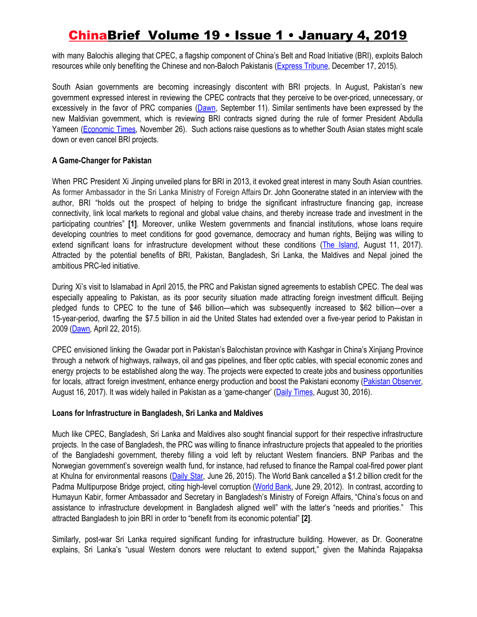with many Balochis alleging that CPEC, a flagship component of China's Belt and Road Initiative (BRI), exploits Baloch resources while only benefiting the Chinese and non-Baloch Pakistanis ([Express](https://tribune.com.pk/story/1011795/is-balochistan-being-ignored-again/) Tribune, December 17, 2015).

South Asian governments are becoming increasingly discontent with BRI projects. In August, Pakistan's new government expressed interest in reviewing the CPEC contracts that they perceive to be over-priced, unnecessary, or excessively in the favor of PRC companies ([Dawn,](https://www.dawn.com/news/1432205) September 11). Similar sentiments have been expressed by the new Maldivian government, which is reviewing BRI contracts signed during the rule of former President Abdulla Yameen [\(Economic](https://economictimes.indiatimes.com/news/international/world-news/maldives-says-china-is-building-projects-at-inflated-prices/articleshow/66814970.cms) Times, November 26). Such actions raise questions as to whether South Asian states might scale down or even cancel BRI projects.

### **A Game-Changer for Pakistan**

When PRC President Xi Jinping unveiled plans for BRI in 2013, it evoked great interest in many South Asian countries. As former Ambassador in the Sri Lanka Ministry of Foreign Affairs Dr. John Gooneratne stated in an interview with the author, BRI "holds out the prospect of helping to bridge the significant infrastructure financing gap, increase connectivity, link local markets to regional and global value chains, and thereby increase trade and investment in the participating countries" **[1]**. Moreover, unlike Western governments and financial institutions, whose loans require developing countries to meet conditions for good governance, democracy and human rights, Beijing was willing to extend significant loans for infrastructure development without these conditions (The [Island](http://island.lk/index.php?page_cat=article-details&page=article-details&code_title=169779), August 11, 2017). Attracted by the potential benefits of BRI, Pakistan, Bangladesh, Sri Lanka, the Maldives and Nepal joined the ambitious PRC-led initiative.

During Xi's visit to Islamabad in April 2015, the PRC and Pakistan signed agreements to establish CPEC. The deal was especially appealing to Pakistan, as its poor security situation made attracting foreign investment difficult. Beijing pledged funds to CPEC to the tune of \$46 billion—which was subsequently increased to \$62 billion—over a 15-year-period, dwarfing the \$7.5 billion in aid the United States had extended over a five-year period to Pakistan in 2009 [\(Dawn](https://www.dawn.com/news/1177533)*,* April 22, 2015).

CPEC envisioned linking the Gwadar port in Pakistan's Balochistan province with Kashgar in China's Xinjiang Province through a network of highways, railways, oil and gas pipelines, and fiber optic cables, with special economic zones and energy projects to be established along the way. The projects were expected to create jobs and business opportunities for locals, attract foreign investment, enhance energy production and boost the Pakistani economy (Pakistan [Observer,](https://pakobserver.net/cpec-game-changer/) August 16, 2017). It was widely hailed in Pakistan as a 'game-changer' (Daily [Times,](https://dailytimes.com.pk/60477/cpec-a-game-changer-for-pakistan-fate-changer-for-region-nawaz/) August 30, 2016).

### **Loans for Infrastructure in Bangladesh, Sri Lanka and Maldives**

Much like CPEC, Bangladesh, Sri Lanka and Maldives also sought financial support for their respective infrastructure projects. In the case of Bangladesh, the PRC was willing to finance infrastructure projects that appealed to the priorities of the Bangladeshi government, thereby filling a void left by reluctant Western financiers. BNP Paribas and the Norwegian government's sovereign wealth fund, for instance, had refused to finance the Rampal coal-fired power plant at Khulna for environmental reasons [\(Daily](https://www.thedailystar.net/country/french-banks-won%E2%80%99t-invest-rampal-plant-103408) Star, June 26, 2015). The World Bank cancelled a \$1.2 billion credit for the Padma Multipurpose Bridge project, citing high-level corruption ([World](http://www.worldbank.org/en/news/press-release/2012/06/29/world-bank-statement-padma-bridge) Bank, June 29, 2012). In contrast, according to Humayun Kabir, former Ambassador and Secretary in Bangladesh's Ministry of Foreign Affairs, "China's focus on and assistance to infrastructure development in Bangladesh aligned well" with the latter's "needs and priorities." This attracted Bangladesh to join BRI in order to "benefit from its economic potential" **[2]**.

Similarly, post-war Sri Lanka required significant funding for infrastructure building. However, as Dr. Gooneratne explains, Sri Lanka's "usual Western donors were reluctant to extend support," given the Mahinda Rajapaksa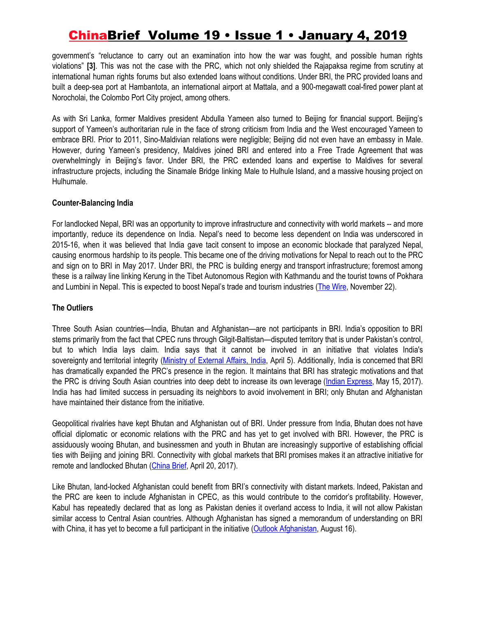government's "reluctance to carry out an examination into how the war was fought, and possible human rights violations" **[3]**. This was not the case with the PRC, which not only shielded the Rajapaksa regime from scrutiny at international human rights forums but also extended loans without conditions. Under BRI, the PRC provided loans and built a deep-sea port at Hambantota, an international airport at Mattala, and a 900-megawatt coal-fired power plant at Norocholai, the Colombo Port City project, among others.

As with Sri Lanka, former Maldives president Abdulla Yameen also turned to Beijing for financial support. Beijing's support of Yameen's authoritarian rule in the face of strong criticism from India and the West encouraged Yameen to embrace BRI. Prior to 2011, Sino-Maldivian relations were negligible; Beijing did not even have an embassy in Male. However, during Yameen's presidency, Maldives joined BRI and entered into a Free Trade Agreement that was overwhelmingly in Beijing's favor. Under BRI, the PRC extended loans and expertise to Maldives for several infrastructure projects, including the Sinamale Bridge linking Male to Hulhule Island, and a massive housing project on Hulhumale.

### **Counter-Balancing India**

For landlocked Nepal, BRI was an opportunity to improve infrastructure and connectivity with world markets -- and more importantly, reduce its dependence on India. Nepal's need to become less dependent on India was underscored in 2015-16, when it was believed that India gave tacit consent to impose an economic blockade that paralyzed Nepal, causing enormous hardship to its people. This became one of the driving motivations for Nepal to reach out to the PRC and sign on to BRI in May 2017. Under BRI, the PRC is building energy and transport infrastructure; foremost among these is a railway line linking Kerung in the Tibet Autonomous Region with Kathmandu and the tourist towns of Pokhara and Lumbini in Nepal. This is expected to boost Nepal's trade and tourism industries (The [Wire,](https://thewire.in/south-asia/bri-china-himalaya-rail-line-debt-trap-nepal) November 22).

### **The Outliers**

Three South Asian countries—India, Bhutan and Afghanistan—are not participants in BRI. India's opposition to BRI stems primarily from the fact that CPEC runs through Gilgit-Baltistan—disputed territory that is under Pakistan's control, but to which India lays claim. India says that it cannot be involved in an initiative that violates India's sovereignty and territorial integrity (Ministry of [External](https://www.mea.gov.in/media-briefings.htm?dtl/29768/Official+Spokespersons+response+to+a+query+on+media+reports+regarding+possible+cooperation+with+China+on+OBORBRI) Affairs, India, April 5). Additionally, India is concerned that BRI has dramatically expanded the PRC's presence in the region. It maintains that BRI has strategic motivations and that the PRC is driving South Asian countries into deep debt to increase its own leverage (Indian [Express,](https://indianexpress.com/article/opinion/why-india-is-not-part-of-the-belt-and-road-initiative-summit-4656150/) May 15, 2017). India has had limited success in persuading its neighbors to avoid involvement in BRI; only Bhutan and Afghanistan have maintained their distance from the initiative.

Geopolitical rivalries have kept Bhutan and Afghanistan out of BRI. Under pressure from India, Bhutan does not have official diplomatic or economic relations with the PRC and has yet to get involved with BRI. However, the PRC is assiduously wooing Bhutan, and businessmen and youth in Bhutan are increasingly supportive of establishing official ties with Beijing and joining BRI. Connectivity with global markets that BRI promises makes it an attractive initiative for remote and landlocked Bhutan ([China](https://jamestown.org/program/bhutans-relations-china-india/) Brief, April 20, 2017).

Like Bhutan, land-locked Afghanistan could benefit from BRI's connectivity with distant markets. Indeed, Pakistan and the PRC are keen to include Afghanistan in CPEC, as this would contribute to the corridor's profitability. However, Kabul has repeatedly declared that as long as Pakistan denies it overland access to India, it will not allow Pakistan similar access to Central Asian countries. Although Afghanistan has signed a memorandum of understanding on BRI with China, it has yet to become a full participant in the initiative (Outlook [Afghanistan](http://outlookafghanistan.net/topics.php?post_id=21628), August 16).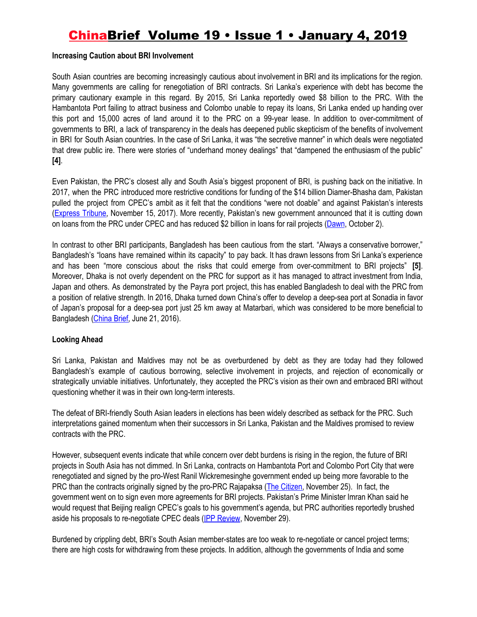#### **Increasing Caution about BRI Involvement**

South Asian countries are becoming increasingly cautious about involvement in BRI and its implications for the region. Many governments are calling for renegotiation of BRI contracts. Sri Lanka's experience with debt has become the primary cautionary example in this regard. By 2015, Sri Lanka reportedly owed \$8 billion to the PRC. With the Hambantota Port failing to attract business and Colombo unable to repay its loans, Sri Lanka ended up handing over this port and 15,000 acres of land around it to the PRC on a 99-year lease. In addition to over-commitment of governments to BRI, a lack of transparency in the deals has deepened public skepticism of the benefits of involvement in BRI for South Asian countries. In the case of Sri Lanka, it was "the secretive manner" in which deals were negotiated that drew public ire. There were stories of "underhand money dealings" that "dampened the enthusiasm of the public" **[4]**.

Even Pakistan, the PRC's closest ally and South Asia's biggest proponent of BRI, is pushing back on the initiative. In 2017, when the PRC introduced more restrictive conditions for funding of the \$14 billion Diamer-Bhasha dam, Pakistan pulled the project from CPEC's ambit as it felt that the conditions "were not doable" and against Pakistan's interests ([Express](https://tribune.com.pk/story/1558475/2-pakistan-stops-bid-include-diamer-bhasha-dam-cpec/) Tribune, November 15, 2017). More recently, Pakistan's new government announced that it is cutting down on loans from the PRC under CPEC and has reduced \$2 billion in loans for rail projects ([Dawn](https://www.dawn.com/news/1436249), October 2).

In contrast to other BRI participants, Bangladesh has been cautious from the start. "Always a conservative borrower," Bangladesh's "loans have remained within its capacity" to pay back. It has drawn lessons from Sri Lanka's experience and has been "more conscious about the risks that could emerge from over-commitment to BRI projects" **[5]**. Moreover, Dhaka is not overly dependent on the PRC for support as it has managed to attract investment from India, Japan and others. As demonstrated by the Payra port project, this has enabled Bangladesh to deal with the PRC from a position of relative strength. In 2016, Dhaka turned down China's offer to develop a deep-sea port at Sonadia in favor of Japan's proposal for a deep-sea port just 25 km away at Matarbari, which was considered to be more beneficial to Bangladesh [\(China](https://jamestown.org/program/chinas-sinking-port-plans-in-bangladesh/) Brief, June 21, 2016).

### **Looking Ahead**

Sri Lanka, Pakistan and Maldives may not be as overburdened by debt as they are today had they followed Bangladesh's example of cautious borrowing, selective involvement in projects, and rejection of economically or strategically unviable initiatives. Unfortunately, they accepted the PRC's vision as their own and embraced BRI without questioning whether it was in their own long-term interests.

The defeat of BRI-friendly South Asian leaders in elections has been widely described as setback for the PRC. Such interpretations gained momentum when their successors in Sri Lanka, Pakistan and the Maldives promised to review contracts with the PRC.

However, subsequent events indicate that while concern over debt burdens is rising in the region, the future of BRI projects in South Asia has not dimmed. In Sri Lanka, contracts on Hambantota Port and Colombo Port City that were renegotiated and signed by the pro-West Ranil Wickremesinghe government ended up being more favorable to the PRC than the contracts originally signed by the pro-PRC Rajapaksa (The [Citizen](https://www.thecitizen.in/index.php/en/NewsDetail/index/5/15625/New-Maldives-Regime-Will-Tread-Cautiously-in-Foreign-Affairs), November 25). In fact, the government went on to sign even more agreements for BRI projects. Pakistan's Prime Minister Imran Khan said he would request that Beijing realign CPEC's goals to his government's agenda, but PRC authorities reportedly brushed aside his proposals to re-negotiate CPEC deals (IPP [Review](http://ippreview.com/index.php/Blog/single/id/842.html), November 29).

Burdened by crippling debt, BRI's South Asian member-states are too weak to re-negotiate or cancel project terms; there are high costs for withdrawing from these projects. In addition, although the governments of India and some